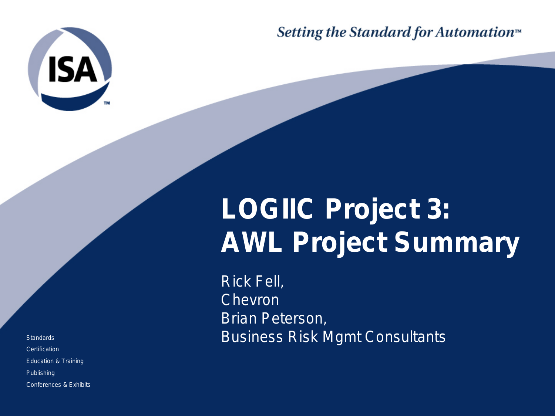

Setting the Standard for Automation<sup>™</sup>

## **LOGIIC Project 3: AWL Project Summary**

Rick Fell, Chevron Brian Peterson, Business Risk Mgmt Consultants

**Standards Certification** Education & Training Publishing Conferences & Exhibits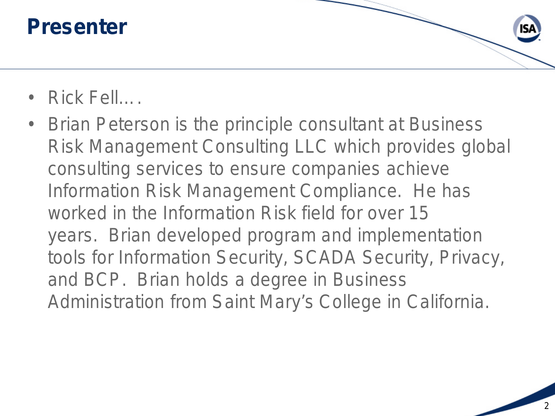#### **Presenter**



- Rick Fell….
- Brian Peterson is the principle consultant at Business Risk Management Consulting LLC which provides global consulting services to ensure companies achieve Information Risk Management Compliance. He has worked in the Information Risk field for over 15 years. Brian developed program and implementation tools for Information Security, SCADA Security, Privacy, and BCP. Brian holds a degree in Business Administration from Saint Mary's College in California.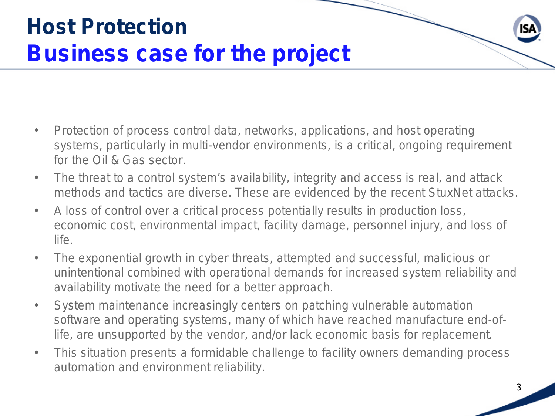## **Host Protection Business case for the project**

- Protection of process control data, networks, applications, and host operating systems, particularly in multi-vendor environments, is a critical, ongoing requirement for the Oil & Gas sector.
- The threat to a control system's availability, integrity and access is real, and attack methods and tactics are diverse. These are evidenced by the recent StuxNet attacks.
- A loss of control over a critical process potentially results in production loss, economic cost, environmental impact, facility damage, personnel injury, and loss of life.
- The exponential growth in cyber threats, attempted and successful, malicious or unintentional combined with operational demands for increased system reliability and availability motivate the need for a better approach.
- System maintenance increasingly centers on patching vulnerable automation software and operating systems, many of which have reached manufacture end-oflife, are unsupported by the vendor, and/or lack economic basis for replacement.
- This situation presents a formidable challenge to facility owners demanding process automation and environment reliability.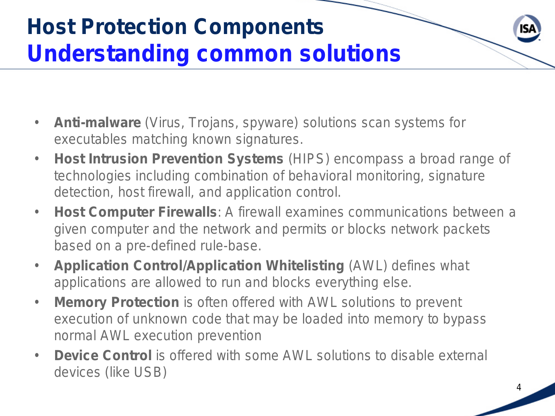## **Host Protection Components Understanding common solutions**

- **Anti-malware** (Virus, Trojans, spyware) solutions scan systems for executables matching known signatures.
- **Host Intrusion Prevention Systems** (HIPS) encompass a broad range of technologies including combination of behavioral monitoring, signature detection, host firewall, and application control.
- **Host Computer Firewalls**: A firewall examines communications between a given computer and the network and permits or blocks network packets based on a pre-defined rule-base.
- **Application Control/Application Whitelisting** (AWL) defines what applications are allowed to run and blocks everything else.
- **Memory Protection** is often offered with AWL solutions to prevent execution of unknown code that may be loaded into memory to bypass normal AWL execution prevention
- **Device Control** is offered with some AWL solutions to disable external devices (like USB)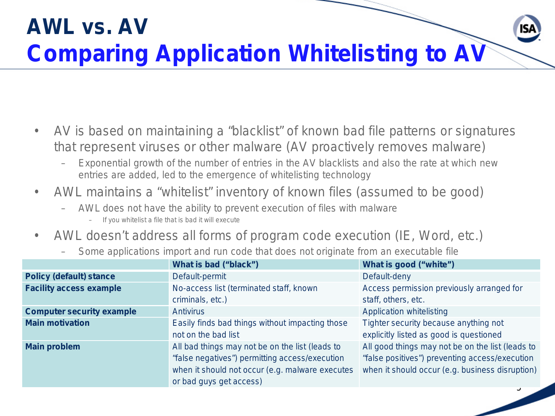## **AWL vs. AV Comparing Application Whitelisting to AV**

- AV is based on maintaining a "blacklist" of known bad file patterns or signatures that represent viruses or other malware (AV proactively removes malware)
	- Exponential growth of the number of entries in the AV blacklists and also the rate at which new entries are added, led to the emergence of whitelisting technology
- AWL maintains a "whitelist" inventory of known files (assumed to be good)
	- AWL does not have the ability to prevent execution of files with malware
		- If you whitelist a file that is bad it will execute
- AWL doesn't address all forms of program code execution (IE, Word, etc.)
	- Some applications import and run code that does not originate from an executable file

|                                  | What is bad ("black")                           | What is good ("white")                           |
|----------------------------------|-------------------------------------------------|--------------------------------------------------|
| <b>Policy (default) stance</b>   | Default-permit                                  | Default-deny                                     |
| <b>Facility access example</b>   | No-access list (terminated staff, known         | Access permission previously arranged for        |
|                                  | criminals, etc.)                                | staff, others, etc.                              |
| <b>Computer security example</b> | <b>Antivirus</b>                                | Application whitelisting                         |
| <b>Main motivation</b>           | Easily finds bad things without impacting those | Tighter security because anything not            |
|                                  | not on the bad list                             | explicitly listed as good is questioned          |
| <b>Main problem</b>              | All bad things may not be on the list (leads to | All good things may not be on the list (leads to |
|                                  | "false negatives") permitting access/execution  | "false positives") preventing access/execution   |
|                                  | when it should not occur (e.g. malware executes | when it should occur (e.g. business disruption)  |
|                                  | or bad guys get access)                         |                                                  |
|                                  |                                                 |                                                  |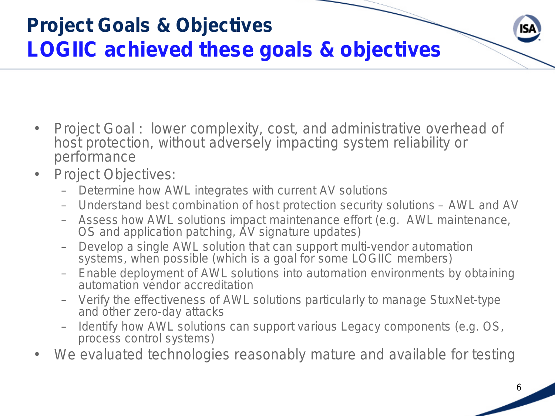

- Project Goal : lower complexity, cost, and administrative overhead of host protection, without adversely impacting system reliability or performance
- Project Objectives:
	- Determine how AWL integrates with current AV solutions
	- Understand best combination of host protection security solutions AWL and AV
	- Assess how AWL solutions impact maintenance effort (e.g. AWL maintenance, OS and application patching, AV signature updates)
	- Develop a single AWL solution that can support multi-vendor automation systems, when possible (which is a goal for some LOGIIC members)
	- Enable deployment of AWL solutions into automation environments by obtaining automation vendor accreditation
	- Verify the effectiveness of AWL solutions particularly to manage StuxNet-type and other zero-day attacks
	- Identify how AWL solutions can support various Legacy components (e.g. OS, process control systems)
- We evaluated technologies reasonably mature and available for testing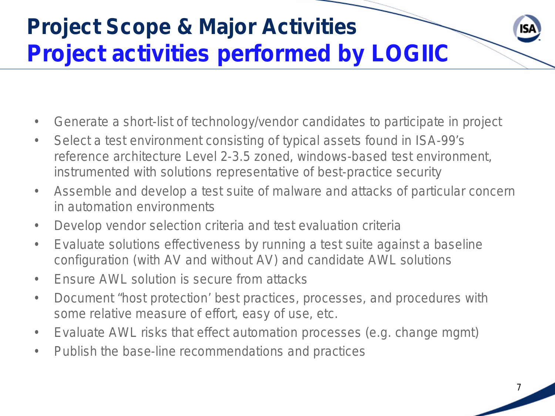## **Project Scope & Major Activities Project activities performed by LOGIIC**

- Generate a short-list of technology/vendor candidates to participate in project
- Select a test environment consisting of typical assets found in ISA-99's reference architecture Level 2-3.5 zoned, windows-based test environment, instrumented with solutions representative of best-practice security
- Assemble and develop a test suite of malware and attacks of particular concern in automation environments
- Develop vendor selection criteria and test evaluation criteria
- Evaluate solutions effectiveness by running a test suite against a baseline configuration (with AV and without AV) and candidate AWL solutions
- Finsure AWL solution is secure from attacks
- Document "host protection' best practices, processes, and procedures with some relative measure of effort, easy of use, etc.
- Evaluate AWL risks that effect automation processes (e.g. change mgmt)
- Publish the base-line recommendations and practices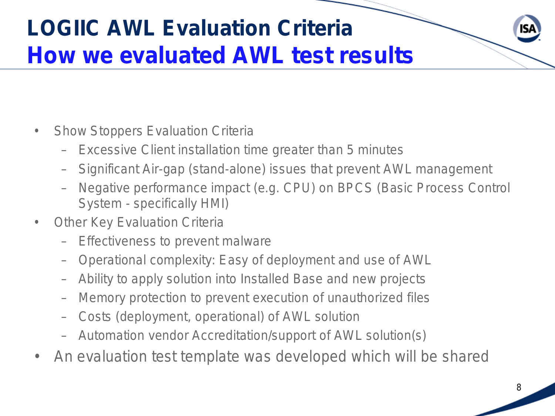## **LOGIIC AWL Evaluation Criteria How we evaluated AWL test results**

- Show Stoppers Evaluation Criteria
	- Excessive Client installation time greater than 5 minutes
	- Significant Air-gap (stand-alone) issues that prevent AWL management
	- Negative performance impact (e.g. CPU) on BPCS (Basic Process Control System - specifically HMI)
- **Other Key Evaluation Criteria** 
	- Effectiveness to prevent malware
	- Operational complexity: Easy of deployment and use of AWL
	- Ability to apply solution into Installed Base and new projects
	- Memory protection to prevent execution of unauthorized files
	- Costs (deployment, operational) of AWL solution
	- Automation vendor Accreditation/support of AWL solution(s)
- An evaluation test template was developed which will be shared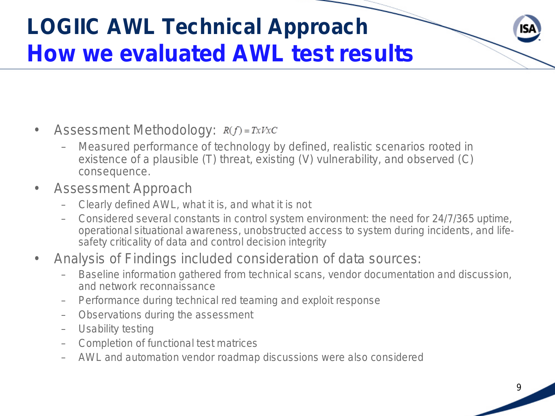## **LOGIIC AWL Technical Approach How we evaluated AWL test results**

- Assessment Methodology:  $R(f) = TxVxC$ 
	- Measured performance of technology by defined, realistic scenarios rooted in existence of a plausible (T) threat, existing (V) vulnerability, and observed (C) consequence.
- Assessment Approach
	- Clearly defined AWL, what it is, and what it is not
	- Considered several constants in control system environment: the need for 24/7/365 uptime, operational situational awareness, unobstructed access to system during incidents, and lifesafety criticality of data and control decision integrity
- Analysis of Findings included consideration of data sources:
	- Baseline information gathered from technical scans, vendor documentation and discussion, and network reconnaissance
	- Performance during technical red teaming and exploit response
	- Observations during the assessment
	- Usability testing
	- Completion of functional test matrices
	- AWL and automation vendor roadmap discussions were also considered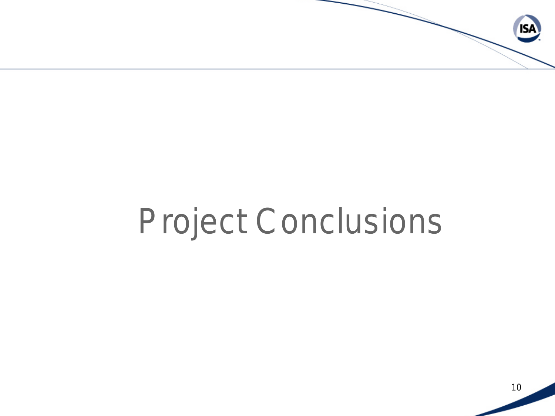

## Project Conclusions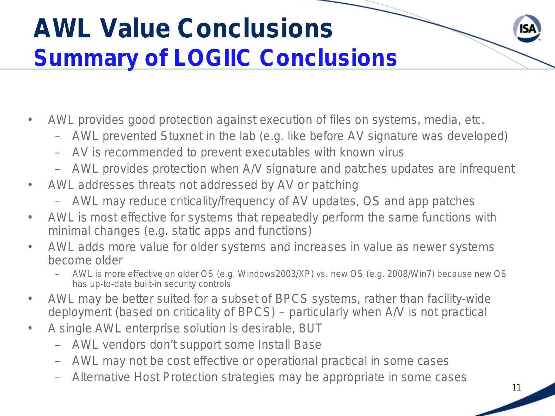## **AWL Value Conclusions Summary of LOGIIC Conclusions**

- AWL provides good protection against execution of files on systems, media, etc.
	- AWL prevented Stuxnet in the lab (e.g. like before AV signature was developed)
	- AV is recommended to prevent executables with known virus
	- AWL provides protection when A/V signature and patches updates are infrequent
- AWL addresses threats not addressed by AV or patching
	- AWL may reduce criticality/frequency of AV updates, OS and app patches
- AWL is most effective for systems that repeatedly perform the same functions with minimal changes (e.g. static apps and functions)
- AWL adds more value for older systems and increases in value as newer systems become older
	- AWL is more effective on older OS (e.g. Windows2003/XP) vs. new OS (e.g. 2008/Win7) because new OS has up-to-date built-in security controls
- AWL may be better suited for a subset of BPCS systems, rather than facility-wide deployment (based on criticality of BPCS) – particularly when A/V is not practical
- A single AWL enterprise solution is desirable, BUT
	- AWL vendors don't support some Install Base
	- AWL may not be cost effective or operational practical in some cases
	- Alternative Host Protection strategies may be appropriate in some cases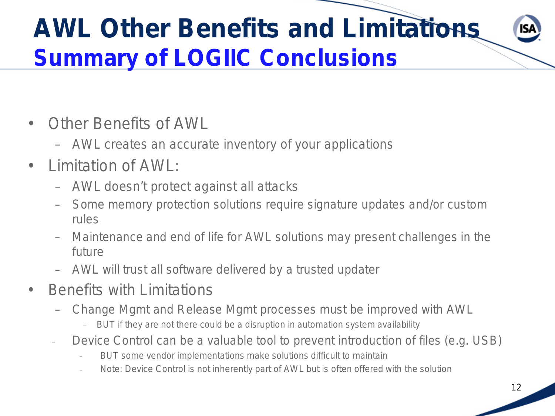## **AWL Other Benefits and Limitations Summary of LOGIIC Conclusions**

- Other Benefits of AWL
	- AWL creates an accurate inventory of your applications
- Limitation of AWL:
	- AWL doesn't protect against all attacks
	- Some memory protection solutions require signature updates and/or custom rules
	- Maintenance and end of life for AWL solutions may present challenges in the future
	- AWL will trust all software delivered by a trusted updater
- Benefits with Limitations
	- Change Mgmt and Release Mgmt processes must be improved with AWL
		- BUT if they are not there could be a disruption in automation system availability
	- Device Control can be a valuable tool to prevent introduction of files (e.g. USB)
		- BUT some vendor implementations make solutions difficult to maintain
		- Note: Device Control is not inherently part of AWL but is often offered with the solution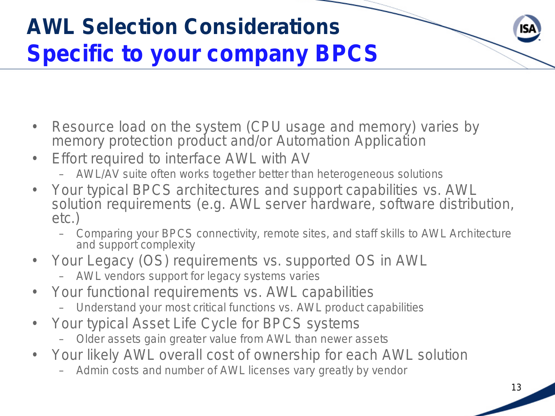## **AWL Selection Considerations Specific to your company BPCS**

- Resource load on the system (CPU usage and memory) varies by memory protection product and/or Automation Application
- Effort required to interface AWL with AV
	- AWL/AV suite often works together better than heterogeneous solutions
- Your typical BPCS architectures and support capabilities vs. AWL solution requirements (e.g. AWL server hardware, software distribution, etc.)
	- Comparing your BPCS connectivity, remote sites, and staff skills to AWL Architecture and support complexity
- Your Legacy (OS) requirements vs. supported OS in AWL
	- AWL vendors support for legacy systems varies
- Your functional requirements vs. AWL capabilities
	- Understand your most critical functions vs. AWL product capabilities
- Your typical Asset Life Cycle for BPCS systems
	- Older assets gain greater value from AWL than newer assets
- Your likely AWL overall cost of ownership for each AWL solution
	- Admin costs and number of AWL licenses vary greatly by vendor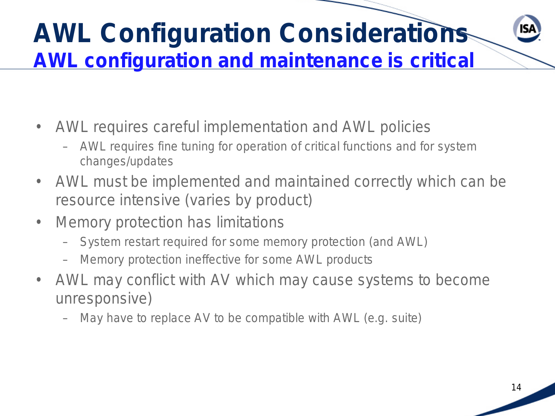## **AWL Configuration Considerations AWL configuration and maintenance is critical**

- AWL requires careful implementation and AWL policies
	- AWL requires fine tuning for operation of critical functions and for system changes/updates
- AWL must be implemented and maintained correctly which can be resource intensive (varies by product)
- Memory protection has limitations
	- System restart required for some memory protection (and AWL)
	- Memory protection ineffective for some AWL products
- AWL may conflict with AV which may cause systems to become unresponsive)
	- May have to replace AV to be compatible with AWL (e.g. suite)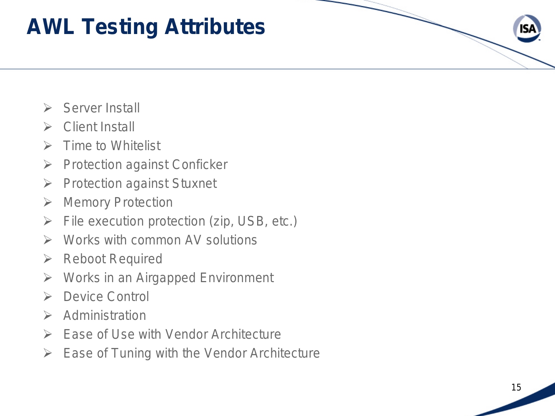#### **AWL Testing Attributes**

- $\triangleright$  Server Install
- $\triangleright$  Client Install
- $\triangleright$  Time to Whitelist
- $\triangleright$  Protection against Conficker
- $\triangleright$  Protection against Stuxnet
- **▶ Memory Protection**
- $\triangleright$  File execution protection (zip, USB, etc.)
- $\triangleright$  Works with common AV solutions
- **EXA** Reboot Required
- Works in an Airgapped Environment
- **EXECUTE:** Device Control
- $\triangleright$  Administration
- $\triangleright$  Ease of Use with Vendor Architecture
- $\triangleright$  Ease of Tuning with the Vendor Architecture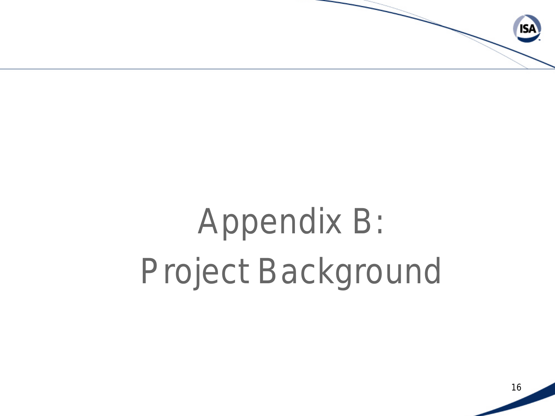

# Appendix B: Project Background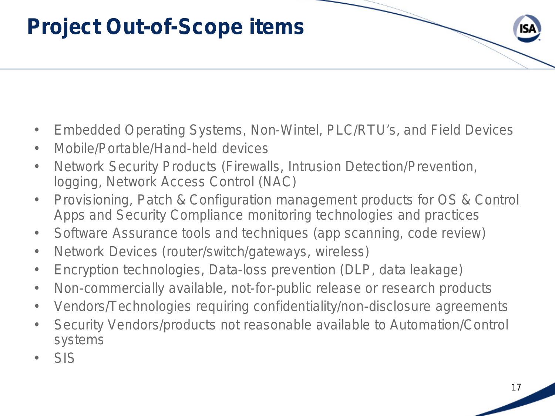#### **Project Out-of-Scope items**

- Embedded Operating Systems, Non-Wintel, PLC/RTU's, and Field Devices
- Mobile/Portable/Hand-held devices
- Network Security Products (Firewalls, Intrusion Detection/Prevention, logging, Network Access Control (NAC)
- Provisioning, Patch & Configuration management products for OS & Control Apps and Security Compliance monitoring technologies and practices
- Software Assurance tools and techniques (app scanning, code review)
- Network Devices (router/switch/gateways, wireless)
- Encryption technologies, Data-loss prevention (DLP, data leakage)
- Non-commercially available, not-for-public release or research products
- Vendors/Technologies requiring confidentiality/non-disclosure agreements
- Security Vendors/products not reasonable available to Automation/Control systems
- SIS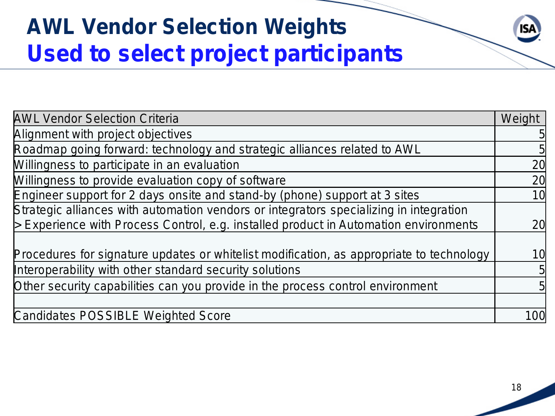## **AWL Vendor Selection Weights Used to select project participants**

| <b>AWL Vendor Selection Criteria</b>                                                                |     |  |
|-----------------------------------------------------------------------------------------------------|-----|--|
| Alignment with project objectives                                                                   |     |  |
| Roadmap going forward: technology and strategic alliances related to AWL                            |     |  |
| Willingness to participate in an evaluation                                                         |     |  |
| Willingness to provide evaluation copy of software                                                  |     |  |
| Engineer support for 2 days onsite and stand-by (phone) support at 3 sites                          |     |  |
| Strategic alliances with automation vendors or integrators specializing in integration              |     |  |
| $\triangleright$ Experience with Process Control, e.g. installed product in Automation environments |     |  |
| Procedures for signature updates or whitelist modification, as appropriate to technology            | 10  |  |
| Interoperability with other standard security solutions                                             |     |  |
| Other security capabilities can you provide in the process control environment                      |     |  |
| Candidates POSSIBLE Weighted Score                                                                  | 100 |  |

**ISA**